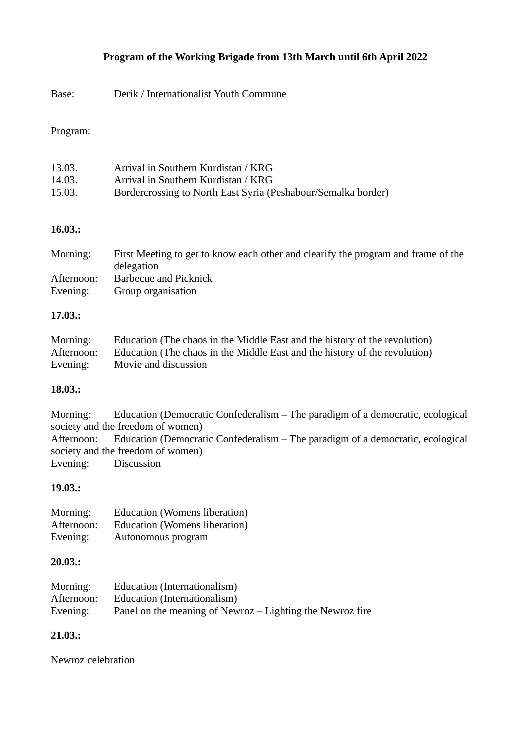# **Program of the Working Brigade from 13th March until 6th April 2022**

Base: Derik / Internationalist Youth Commune

### Program:

| 13.03. | Arrival in Southern Kurdistan / KRG                           |
|--------|---------------------------------------------------------------|
| 14.03. | Arrival in Southern Kurdistan / KRG                           |
| 15.03. | Bordercrossing to North East Syria (Peshabour/Semalka border) |

## **16.03.:**

| Morning:   | First Meeting to get to know each other and clearify the program and frame of the<br>delegation |
|------------|-------------------------------------------------------------------------------------------------|
| Afternoon: | <b>Barbecue and Picknick</b>                                                                    |
| Evening:   | Group organisation                                                                              |

### **17.03.:**

| Morning:   | Education (The chaos in the Middle East and the history of the revolution) |
|------------|----------------------------------------------------------------------------|
| Afternoon: | Education (The chaos in the Middle East and the history of the revolution) |
| Evening:   | Movie and discussion                                                       |

### **18.03.:**

Morning: Education (Democratic Confederalism – The paradigm of a democratic, ecological society and the freedom of women) Afternoon: Education (Democratic Confederalism – The paradigm of a democratic, ecological society and the freedom of women) Evening: Discussion

### **19.03.:**

| Morning:   | <b>Education (Womens liberation)</b> |
|------------|--------------------------------------|
| Afternoon: | Education (Womens liberation)        |
| Evening:   | Autonomous program                   |

### **20.03.:**

| Morning:   | Education (Internationalism)                              |
|------------|-----------------------------------------------------------|
| Afternoon: | Education (Internationalism)                              |
| Evening:   | Panel on the meaning of Newroz - Lighting the Newroz fire |

# **21.03.:**

Newroz celebration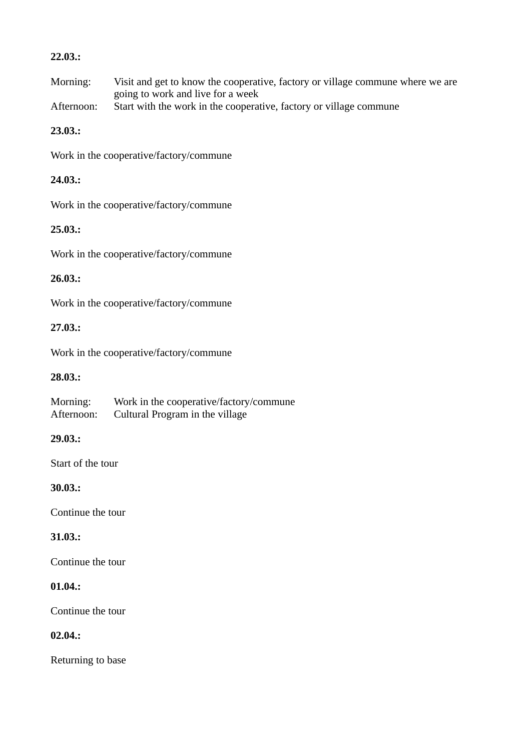## **22.03.:**

Morning: Visit and get to know the cooperative, factory or village commune where we are going to work and live for a week

Afternoon: Start with the work in the cooperative, factory or village commune

# **23.03.:**

Work in the cooperative/factory/commune

# **24.03.:**

Work in the cooperative/factory/commune

# **25.03.:**

Work in the cooperative/factory/commune

# **26.03.:**

Work in the cooperative/factory/commune

# **27.03.:**

Work in the cooperative/factory/commune

# **28.03.:**

| Morning:   | Work in the cooperative/factory/commune |
|------------|-----------------------------------------|
| Afternoon: | Cultural Program in the village         |

### **29.03.:**

Start of the tour

# **30.03.:**

Continue the tour

# **31.03.:**

Continue the tour

# **01.04.:**

Continue the tour

# **02.04.:**

Returning to base